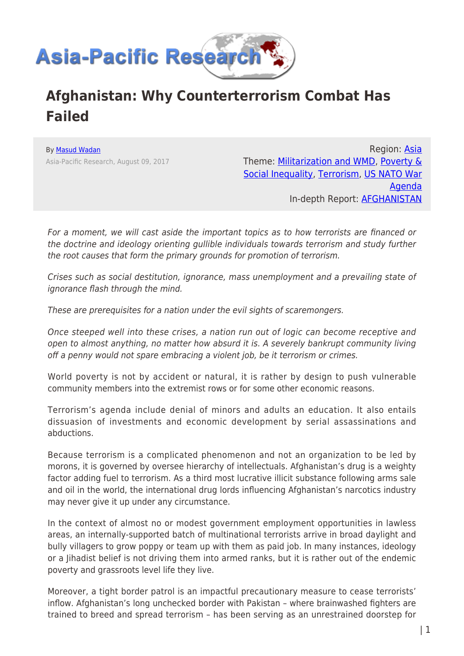

## **Afghanistan: Why Counterterrorism Combat Has Failed**

By [Masud Wadan](https://www.asia-pacificresearch.com/author/masud-wadan) Asia-Pacific Research, August 09, 2017

Region: [Asia](https://www.asia-pacificresearch.com/region/asia-as) Theme: [Militarization and WMD,](https://www.asia-pacificresearch.com/theme/militarization-and-wmd-as) [Poverty &](https://www.asia-pacificresearch.com/theme/poverty-social-inequality-as) [Social Inequality,](https://www.asia-pacificresearch.com/theme/poverty-social-inequality-as) [Terrorism,](https://www.asia-pacificresearch.com/theme/9-11-war-on-terrorism-as) [US NATO War](https://www.asia-pacificresearch.com/theme/us-nato-war-agenda-as) [Agenda](https://www.asia-pacificresearch.com/theme/us-nato-war-agenda-as) In-depth Report: [AFGHANISTAN](https://www.asia-pacificresearch.com/indepthreport/afghanistan-as)

For a moment, we will cast aside the important topics as to how terrorists are financed or the doctrine and ideology orienting gullible individuals towards terrorism and study further the root causes that form the primary grounds for promotion of terrorism.

Crises such as social destitution, ignorance, mass unemployment and a prevailing state of ignorance flash through the mind.

These are prerequisites for a nation under the evil sights of scaremongers.

Once steeped well into these crises, a nation run out of logic can become receptive and open to almost anything, no matter how absurd it is. A severely bankrupt community living off a penny would not spare embracing a violent job, be it terrorism or crimes.

World poverty is not by accident or natural, it is rather by design to push vulnerable community members into the extremist rows or for some other economic reasons.

Terrorism's agenda include denial of minors and adults an education. It also entails dissuasion of investments and economic development by serial assassinations and abductions.

Because terrorism is a complicated phenomenon and not an organization to be led by morons, it is governed by oversee hierarchy of intellectuals. Afghanistan's drug is a weighty factor adding fuel to terrorism. As a third most lucrative illicit substance following arms sale and oil in the world, the international drug lords influencing Afghanistan's narcotics industry may never give it up under any circumstance.

In the context of almost no or modest government employment opportunities in lawless areas, an internally-supported batch of multinational terrorists arrive in broad daylight and bully villagers to grow poppy or team up with them as paid job. In many instances, ideology or a Jihadist belief is not driving them into armed ranks, but it is rather out of the endemic poverty and grassroots level life they live.

Moreover, a tight border patrol is an impactful precautionary measure to cease terrorists' inflow. Afghanistan's long unchecked border with Pakistan – where brainwashed fighters are trained to breed and spread terrorism – has been serving as an unrestrained doorstep for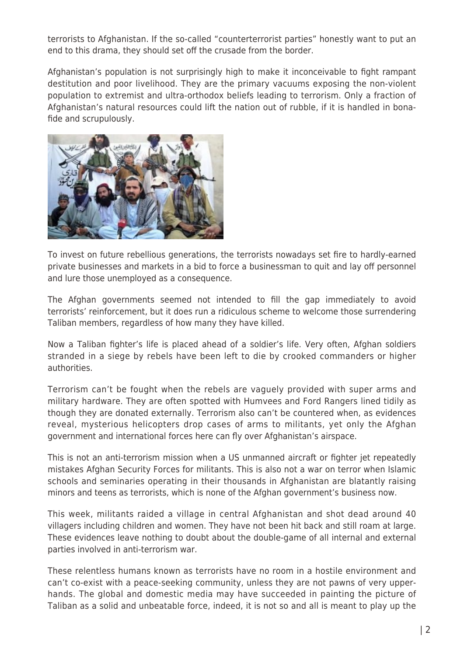terrorists to Afghanistan. If the so-called "counterterrorist parties" honestly want to put an end to this drama, they should set off the crusade from the border.

Afghanistan's population is not surprisingly high to make it inconceivable to fight rampant destitution and poor livelihood. They are the primary vacuums exposing the non-violent population to extremist and ultra-orthodox beliefs leading to terrorism. Only a fraction of Afghanistan's natural resources could lift the nation out of rubble, if it is handled in bonafide and scrupulously.



To invest on future rebellious generations, the terrorists nowadays set fire to hardly-earned private businesses and markets in a bid to force a businessman to quit and lay off personnel and lure those unemployed as a consequence.

The Afghan governments seemed not intended to fill the gap immediately to avoid terrorists' reinforcement, but it does run a ridiculous scheme to welcome those surrendering Taliban members, regardless of how many they have killed.

Now a Taliban fighter's life is placed ahead of a soldier's life. Very often, Afghan soldiers stranded in a siege by rebels have been left to die by crooked commanders or higher authorities.

Terrorism can't be fought when the rebels are vaguely provided with super arms and military hardware. They are often spotted with Humvees and Ford Rangers lined tidily as though they are donated externally. Terrorism also can't be countered when, as evidences reveal, mysterious helicopters drop cases of arms to militants, yet only the Afghan government and international forces here can fly over Afghanistan's airspace.

This is not an anti-terrorism mission when a US unmanned aircraft or fighter jet repeatedly mistakes Afghan Security Forces for militants. This is also not a war on terror when Islamic schools and seminaries operating in their thousands in Afghanistan are blatantly raising minors and teens as terrorists, which is none of the Afghan government's business now.

This week, militants raided a village in central Afghanistan and shot dead around 40 villagers including children and women. They have not been hit back and still roam at large. These evidences leave nothing to doubt about the double-game of all internal and external parties involved in anti-terrorism war.

These relentless humans known as terrorists have no room in a hostile environment and can't co-exist with a peace-seeking community, unless they are not pawns of very upperhands. The global and domestic media may have succeeded in painting the picture of Taliban as a solid and unbeatable force, indeed, it is not so and all is meant to play up the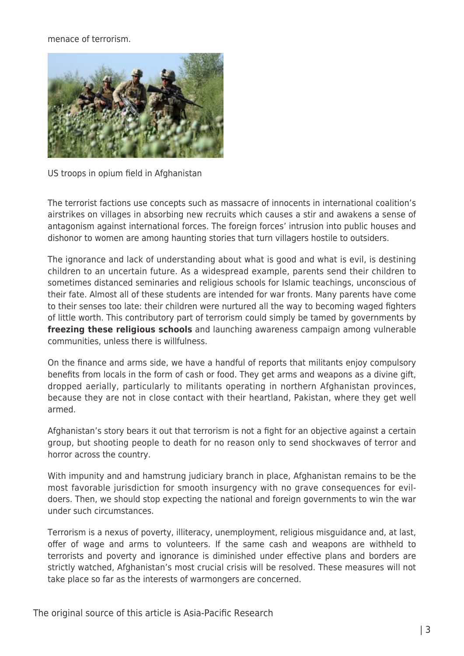## menace of terrorism.



US troops in opium field in Afghanistan

The terrorist factions use concepts such as massacre of innocents in international coalition's airstrikes on villages in absorbing new recruits which causes a stir and awakens a sense of antagonism against international forces. The foreign forces' intrusion into public houses and dishonor to women are among haunting stories that turn villagers hostile to outsiders.

The ignorance and lack of understanding about what is good and what is evil, is destining children to an uncertain future. As a widespread example, parents send their children to sometimes distanced seminaries and religious schools for Islamic teachings, unconscious of their fate. Almost all of these students are intended for war fronts. Many parents have come to their senses too late: their children were nurtured all the way to becoming waged fighters of little worth. This contributory part of terrorism could simply be tamed by governments by **freezing these religious schools** and launching awareness campaign among vulnerable communities, unless there is willfulness.

On the finance and arms side, we have a handful of reports that militants enjoy compulsory benefits from locals in the form of cash or food. They get arms and weapons as a divine gift, dropped aerially, particularly to militants operating in northern Afghanistan provinces, because they are not in close contact with their heartland, Pakistan, where they get well armed.

Afghanistan's story bears it out that terrorism is not a fight for an objective against a certain group, but shooting people to death for no reason only to send shockwaves of terror and horror across the country.

With impunity and and hamstrung judiciary branch in place, Afghanistan remains to be the most favorable jurisdiction for smooth insurgency with no grave consequences for evildoers. Then, we should stop expecting the national and foreign governments to win the war under such circumstances.

Terrorism is a nexus of poverty, illiteracy, unemployment, religious misguidance and, at last, offer of wage and arms to volunteers. If the same cash and weapons are withheld to terrorists and poverty and ignorance is diminished under effective plans and borders are strictly watched, Afghanistan's most crucial crisis will be resolved. These measures will not take place so far as the interests of warmongers are concerned.

The original source of this article is Asia-Pacific Research